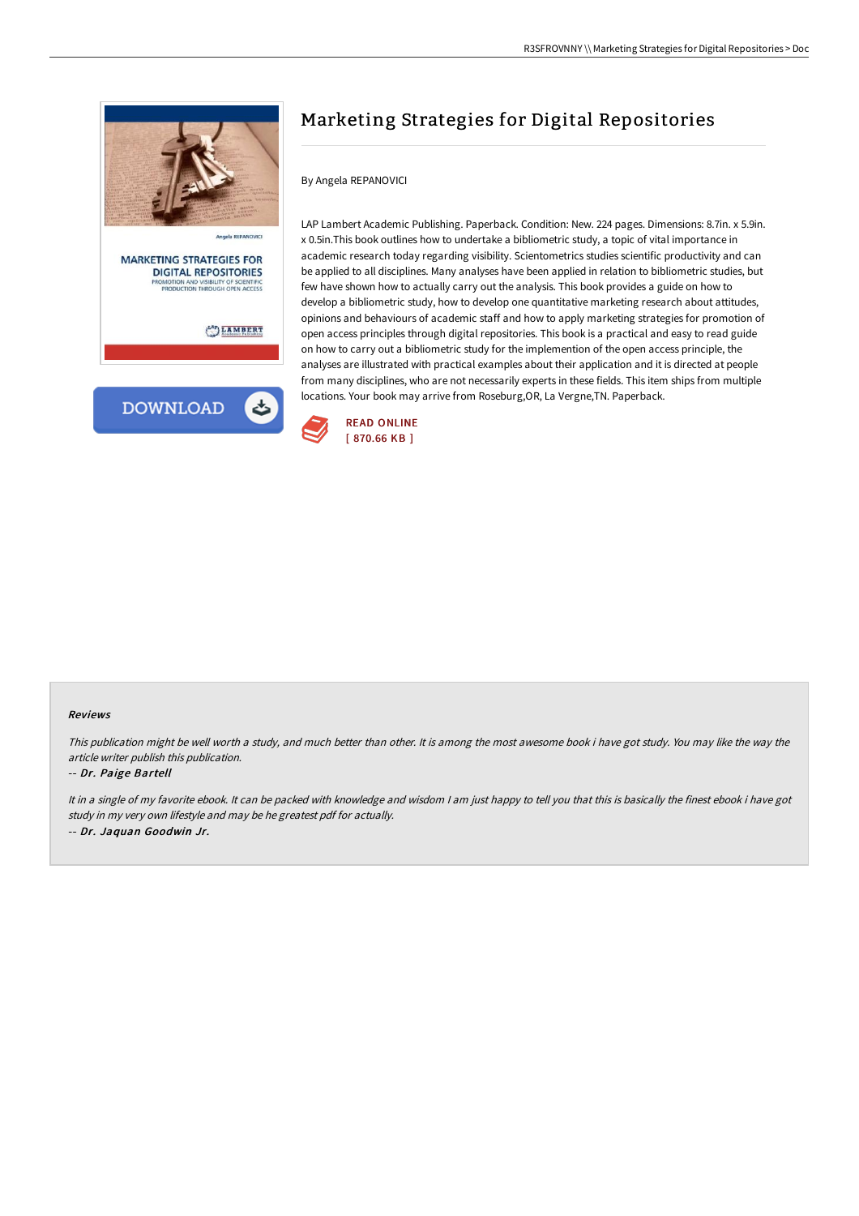

**DIGITAL REPOSITORIES** TY OF SCIENTIFIC<br>SH OPEN ACCESS ODUCTION TH

LAMBERT



## Marketing Strategies for Digital Repositories

## By Angela REPANOVICI

LAP Lambert Academic Publishing. Paperback. Condition: New. 224 pages. Dimensions: 8.7in. x 5.9in. x 0.5in.This book outlines how to undertake a bibliometric study, a topic of vital importance in academic research today regarding visibility. Scientometrics studies scientific productivity and can be applied to all disciplines. Many analyses have been applied in relation to bibliometric studies, but few have shown how to actually carry out the analysis. This book provides a guide on how to develop a bibliometric study, how to develop one quantitative marketing research about attitudes, opinions and behaviours of academic staff and how to apply marketing strategies for promotion of open access principles through digital repositories. This book is a practical and easy to read guide on how to carry out a bibliometric study for the implemention of the open access principle, the analyses are illustrated with practical examples about their application and it is directed at people from many disciplines, who are not necessarily experts in these fields. This item ships from multiple locations. Your book may arrive from Roseburg,OR, La Vergne,TN. Paperback.



## Reviews

This publication might be well worth <sup>a</sup> study, and much better than other. It is among the most awesome book i have got study. You may like the way the article writer publish this publication.

## -- Dr. Paige Bartell

It in a single of my favorite ebook. It can be packed with knowledge and wisdom I am just happy to tell you that this is basically the finest ebook i have got study in my very own lifestyle and may be he greatest pdf for actually. -- Dr. Jaquan Goodwin Jr.